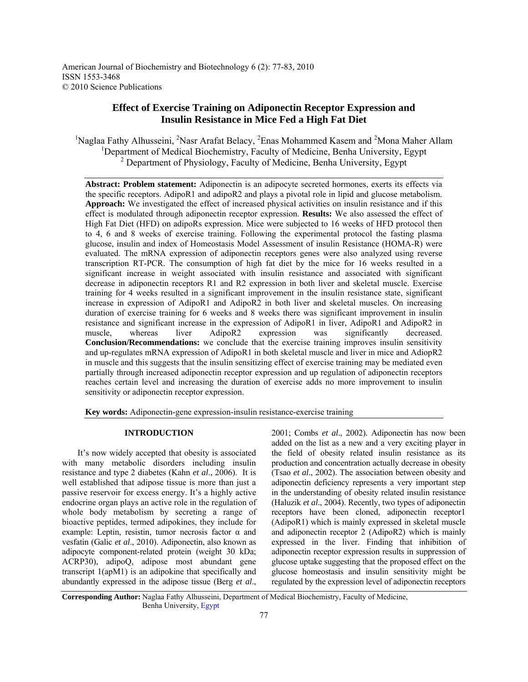American Journal of Biochemistry and Biotechnology 6 (2): 77-83, 2010 ISSN 1553-3468 © 2010 Science Publications

# **Effect of Exercise Training on Adiponectin Receptor Expression and Insulin Resistance in Mice Fed a High Fat Diet**

<sup>1</sup>Naglaa Fathy Alhusseini, <sup>2</sup>Nasr Arafat Belacy, <sup>2</sup>Enas Mohammed Kasem and <sup>2</sup>Mona Maher Allam <sup>1</sup>Department of Medical Biochemistry, Faculty of Medicine, Benha University, Egypt <sup>2</sup> Department of Physiology, Faculty of Medicine, Benha University, Egypt

**Abstract: Problem statement:** Adiponectin is an adipocyte secreted hormones, exerts its effects via the specific receptors. AdipoR1 and adipoR2 and plays a pivotal role in lipid and glucose metabolism. **Approach:** We investigated the effect of increased physical activities on insulin resistance and if this effect is modulated through adiponectin receptor expression. **Results:** We also assessed the effect of High Fat Diet (HFD) on adipoRs expression. Mice were subjected to 16 weeks of HFD protocol then to 4, 6 and 8 weeks of exercise training. Following the experimental protocol the fasting plasma glucose, insulin and index of Homeostasis Model Assessment of insulin Resistance (HOMA-R) were evaluated. The mRNA expression of adiponectin receptors genes were also analyzed using reverse transcription RT-PCR. The consumption of high fat diet by the mice for 16 weeks resulted in a significant increase in weight associated with insulin resistance and associated with significant decrease in adiponectin receptors R1 and R2 expression in both liver and skeletal muscle. Exercise training for 4 weeks resulted in a significant improvement in the insulin resistance state, significant increase in expression of AdipoR1 and AdipoR2 in both liver and skeletal muscles. On increasing duration of exercise training for 6 weeks and 8 weeks there was significant improvement in insulin resistance and significant increase in the expression of AdipoR1 in liver, AdipoR1 and AdipoR2 in muscle, whereas liver AdipoR2 expression was significantly decreased. **Conclusion/Recommendations:** we conclude that the exercise training improves insulin sensitivity and up-regulates mRNA expression of AdipoR1 in both skeletal muscle and liver in mice and AdiopR2 in muscle and this suggests that the insulin sensitizing effect of exercise training may be mediated even partially through increased adiponectin receptor expression and up regulation of adiponectin receptors reaches certain level and increasing the duration of exercise adds no more improvement to insulin sensitivity or adiponectin receptor expression.

**Key words:** Adiponectin-gene expression-insulin resistance-exercise training

## **INTRODUCTION**

 It's now widely accepted that obesity is associated with many metabolic disorders including insulin resistance and type 2 diabetes (Kahn *et al*., 2006). It is well established that adipose tissue is more than just a passive reservoir for excess energy. It's a highly active endocrine organ plays an active role in the regulation of whole body metabolism by secreting a range of bioactive peptides, termed adipokines, they include for example: Leptin, resistin, tumor necrosis factor  $\alpha$  and vesfatin (Galic *et al*., 2010). Adiponectin, also known as adipocyte component-related protein (weight 30 kDa; ACRP30), adipoQ, adipose most abundant gene transcript 1(apM1) is an adipokine that specifically and abundantly expressed in the adipose tissue (Berg *et al*.,

2001; Combs *et al*., 2002)*.* Adiponectin has now been added on the list as a new and a very exciting player in the field of obesity related insulin resistance as its production and concentration actually decrease in obesity (Tsao *et al*., 2002). The association between obesity and adiponectin deficiency represents a very important step in the understanding of obesity related insulin resistance (Haluzik *et al*., 2004). Recently, two types of adiponectin receptors have been cloned, adiponectin receptor1 (AdipoR1) which is mainly expressed in skeletal muscle and adiponectin receptor 2 (AdipoR2) which is mainly expressed in the liver. Finding that inhibition of adiponectin receptor expression results in suppression of glucose uptake suggesting that the proposed effect on the glucose homeostasis and insulin sensitivity might be regulated by the expression level of adiponectin receptors

**Corresponding Author:** Naglaa Fathy Alhusseini, Department of Medical Biochemistry, Faculty of Medicine, Benha University, Egypt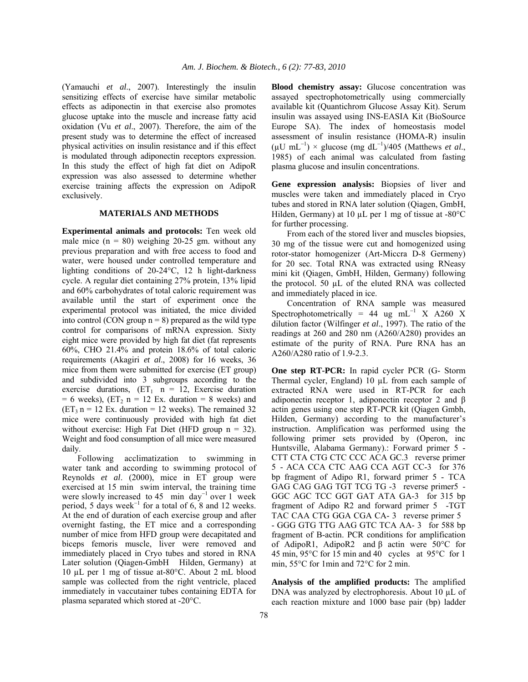(Yamauchi *et al*., 2007). Interestingly the insulin sensitizing effects of exercise have similar metabolic effects as adiponectin in that exercise also promotes glucose uptake into the muscle and increase fatty acid oxidation (Vu *et al*., 2007). Therefore, the aim of the present study was to determine the effect of increased physical activities on insulin resistance and if this effect is modulated through adiponectin receptors expression. In this study the effect of high fat diet on AdipoR expression was also assessed to determine whether exercise training affects the expression on AdipoR exclusively.

#### **MATERIALS AND METHODS**

**Experimental animals and protocols:** Ten week old male mice  $(n = 80)$  weighing 20-25 gm. without any previous preparation and with free access to food and water, were housed under controlled temperature and lighting conditions of 20-24°C, 12 h light-darkness cycle. A regular diet containing 27% protein, 13% lipid and 60% carbohydrates of total caloric requirement was available until the start of experiment once the experimental protocol was initiated, the mice divided into control (CON group  $n = 8$ ) prepared as the wild type control for comparisons of mRNA expression. Sixty eight mice were provided by high fat diet (fat represents 60%, CHO 21.4% and protein 18.6% of total caloric requirements (Akagiri *et al*., 2008) for 16 weeks, 36 mice from them were submitted for exercise (ET group) and subdivided into 3 subgroups according to the exercise durations,  $(ET_1 \t n = 12, Exercise \t duration)$  $= 6$  weeks), (ET<sub>2</sub> n = 12 Ex. duration = 8 weeks) and  $(ET_3 n = 12 \text{ Ex. duration} = 12 \text{ weeks})$ . The remained 32 mice were continuously provided with high fat diet without exercise: High Fat Diet (HFD group  $n = 32$ ). Weight and food consumption of all mice were measured daily.

 Following acclimatization to swimming in water tank and according to swimming protocol of Reynolds *et al*. (2000), mice in ET group were exercised at 15 min swim interval, the training time were slowly increased to 45 min day<sup>-1</sup> over 1 week period, 5 days week<sup>-1</sup> for a total of 6, 8 and 12 weeks. At the end of duration of each exercise group and after overnight fasting, the ET mice and a corresponding number of mice from HFD group were decapitated and biceps femoris muscle, liver were removed and immediately placed in Cryo tubes and stored in RNA Later solution (Qiagen-GmbH Hilden, Germany) at 10 µL per 1 mg of tissue at-80°C. About 2 mL blood sample was collected from the right ventricle, placed immediately in vaccutainer tubes containing EDTA for plasma separated which stored at -20°C.

**Blood chemistry assay:** Glucose concentration was assayed spectrophotometrically using commercially available kit (Quantichrom Glucose Assay Kit). Serum insulin was assayed using INS-EASIA Kit (BioSource Europe SA). The index of homeostasis model assessment of insulin resistance (HOMA-R) insulin  $(\mu U \text{ mL}^{-1}) \times \text{glucose (mg dL}^{-1})/405 \text{ (Matthews } et al.,$ 1985) of each animal was calculated from fasting plasma glucose and insulin concentrations.

**Gene expression analysis:** Biopsies of liver and muscles were taken and immediately placed in Cryo tubes and stored in RNA later solution (Qiagen, GmbH, Hilden, Germany) at 10  $\mu$ L per 1 mg of tissue at -80 $\degree$ C for further processing.

 From each of the stored liver and muscles biopsies, 30 mg of the tissue were cut and homogenized using rotor-stator homogenizer (Art-Miccra D-8 Germeny) for 20 sec. Total RNA was extracted using RNeasy mini kit (Qiagen, GmbH, Hilden, Germany) following the protocol. 50 µL of the eluted RNA was collected and immediately placed in ice.

 Concentration of RNA sample was measured Spectrophotometrically = 44 ug mL<sup>-1</sup> X A260 X dilution factor (Wilfinger *et al*., 1997). The ratio of the readings at 260 and 280 nm (A260/A280) provides an estimate of the purity of RNA. Pure RNA has an A260/A280 ratio of 1.9-2.3.

**One step RT-PCR:** In rapid cycler PCR (G- Storm Thermal cycler, England) 10 µL from each sample of extracted RNA were used in RT-PCR for each adiponectin receptor 1, adiponectin receptor 2 and β actin genes using one step RT-PCR kit (Qiagen Gmbh, Hilden, Germany) according to the manufacturer's instruction. Amplification was performed using the following primer sets provided by (Operon, inc Huntsville, Alabama Germany).: Forward primer 5- CTT CTA CTG CTC CCC ACA GC.3 reverse primer 5- ACA CCA CTC AAG CCA AGT CC-3 for 376 bp fragment of Adipo R1, forward primer 5- TCA GAG CAG GAG TGT TCG TG -3 reverse primer5- GGC AGC TCC GGT GAT ATA GA-3 for 315 bp fragment of Adipo R2 and forward primer 5 -TGT TAC CAA CTG GGA CGA CA- 3 reverse primer 5 - GGG GTG TTG AAG GTC TCA AA- 3 for 588 bp fragment of B-actin. PCR conditions for amplification of AdipoR1, AdipoR2 and β actin were 50°C for 45 min, 95°C for 15 min and 40 cycles at 95°C for 1 min, 55°C for 1min and 72°C for 2 min.

**Analysis of the amplified products:** The amplified DNA was analyzed by electrophoresis. About 10 µL of each reaction mixture and 1000 base pair (bp) ladder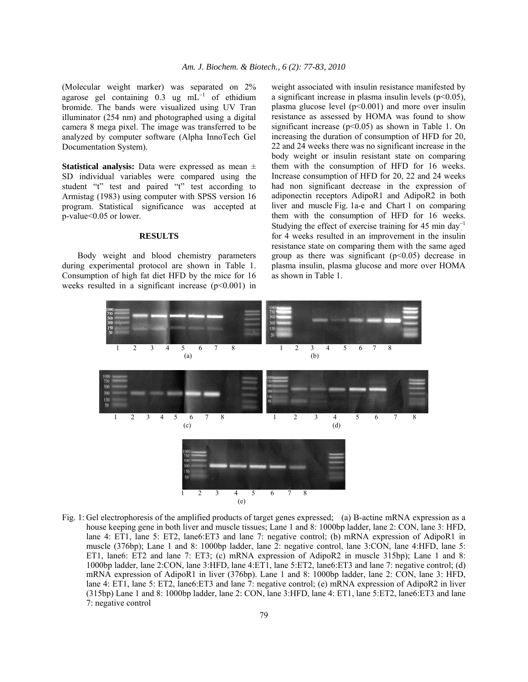(Molecular weight marker) was separated on 2% agarose gel containing 0.3 ug mL<sup>-1</sup> of ethidium bromide. The bands were visualized using UV Tran illuminator (254 nm) and photographed using a digital camera 8 mega pixel. The image was transferred to be analyzed by computer software (Alpha InnoTech Gel Documentation System).

**Statistical analysis:** Data were expressed as mean ± SD individual variables were compared using the student "t" test and paired "t" test according to Armistag (1983) using computer with SPSS version 16 program. Statistical significance was accepted at p-value<0.05 or lower.

## **RESULTS**

 Body weight and blood chemistry parameters during experimental protocol are shown in Table 1. Consumption of high fat diet HFD by the mice for 16 weeks resulted in a significant increase  $(p<0.001)$  in weight associated with insulin resistance manifested by a significant increase in plasma insulin levels  $(p<0.05)$ , plasma glucose level  $(p<0.001)$  and more over insulin resistance as assessed by HOMA was found to show significant increase ( $p$ <0.05) as shown in Table 1. On increasing the duration of consumption of HFD for 20, 22 and 24 weeks there was no significant increase in the body weight or insulin resistant state on comparing them with the consumption of HFD for 16 weeks. Increase consumption of HFD for 20, 22 and 24 weeks had non significant decrease in the expression of adiponectin receptors AdipoR1 and AdipoR2 in both liver and muscle Fig. 1a-e and Chart 1 on comparing them with the consumption of HFD for 16 weeks. Studying the effect of exercise training for 45 min day<sup>-1</sup> for 4 weeks resulted in an improvement in the insulin resistance state on comparing them with the same aged group as there was significant  $(p<0.05)$  decrease in plasma insulin, plasma glucose and more over HOMA as shown in Table 1.



Fig. 1: Gel electrophoresis of the amplified products of target genes expressed; (a) B-actine mRNA expression as a house keeping gene in both liver and muscle tissues; Lane 1 and 8: 1000bp ladder, lane 2: CON, lane 3: HFD, lane 4: ET1, lane 5: ET2, lane6:ET3 and lane 7: negative control; (b) mRNA expression of AdipoR1 in muscle (376bp); Lane 1 and 8: 1000bp ladder, lane 2: negative control, lane 3:CON, lane 4:HFD, lane 5: ET1, lane6: ET2 and lane 7: ET3; (c) mRNA expression of AdipoR2 in muscle 315bp); Lane 1 and 8: 1000bp ladder, lane 2:CON, lane 3:HFD, lane 4:ET1, lane 5:ET2, lane6:ET3 and lane 7: negative control; (d) mRNA expression of AdipoR1 in liver (376bp). Lane 1 and 8: 1000bp ladder, lane 2: CON, lane 3: HFD, lane 4: ET1, lane 5: ET2, lane6:ET3 and lane 7: negative control; (e) mRNA expression of AdipoR2 in liver (315bp) Lane 1 and 8: 1000bp ladder, lane 2: CON, lane 3:HFD, lane 4: ET1, lane 5:ET2, lane6:ET3 and lane 7: negative control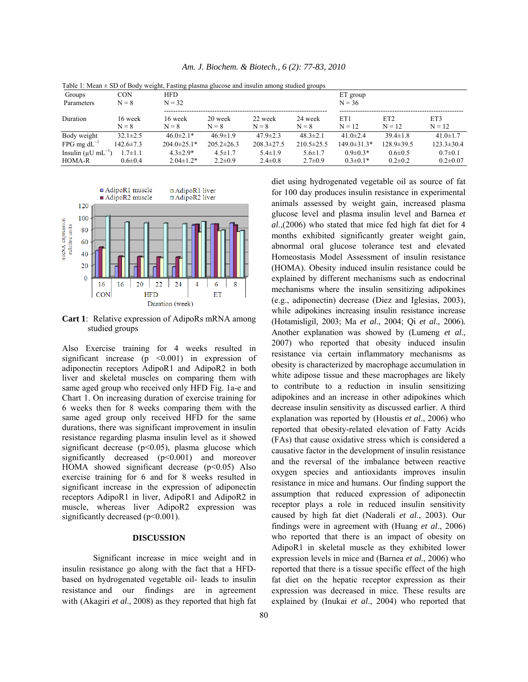| Table 1: Mean $\pm$ SD of Body weight, Fasting plasma glucose and insulin among studied groups |                    |                    |                    |                    |                    |                   |                             |                  |
|------------------------------------------------------------------------------------------------|--------------------|--------------------|--------------------|--------------------|--------------------|-------------------|-----------------------------|------------------|
| Groups                                                                                         | <b>CON</b>         | <b>HFD</b>         |                    |                    |                    | ET group          |                             |                  |
| Parameters                                                                                     | $N = 8$            | $N = 32$           |                    |                    |                    | $N = 36$          |                             |                  |
| Duration                                                                                       | 16 week<br>$N = 8$ | 16 week<br>$N = 8$ | 20 week<br>$N = 8$ | 22 week<br>$N = 8$ | 24 week<br>$N = 8$ | ET1<br>$N = 12$   | ET <sub>2</sub><br>$N = 12$ | ET3<br>$N = 12$  |
| Body weight                                                                                    | $32.1 \pm 2.5$     | $46.0\pm2.1*$      | $46.9 \pm 1.9$     | $47.9 \pm 2.3$     | $48.3 \pm 2.1$     | $41.0 \pm 2.4$    | $39.4 \pm 1.8$              | 41.0 $\pm$ 1.7   |
| $FPG$ mg $dL^{-1}$                                                                             | $142.6 \pm 7.3$    | $204.0 \pm 25.1*$  | $205.2 \pm 26.3$   | $208.3 \pm 27.5$   | $210.5 \pm 25.5$   | $149.0 \pm 31.3*$ | $128.9 \pm 39.5$            | $123.3 \pm 30.4$ |
| Insulin ( $\mu$ U mL <sup>-1</sup> )                                                           | $1.7 \pm 1.1$      | $4.3 \pm 2.9*$     | $4.5 \pm 1.7$      | $5.4 \pm 1.9$      | $5.6 \pm 1.7$      | $0.9 \pm 0.3*$    | $0.6 \pm 0.5$               | $0.7 \pm 0.1$    |
| <b>HOMA-R</b>                                                                                  | $0.6 \pm 0.4$      | $2.04 \pm 1.2*$    | $2.2 \pm 0.9$      | $2.4 \pm 0.8$      | $2.7 \pm 0.9$      | $0.3 \pm 0.1*$    | $0.2 \pm 0.2$               | $0.2 \pm 0.07$   |

*Am. J. Biochem. & Biotech., 6 (2): 77-83, 2010* 

Table 1: Mean  $\pm$  SD of Body weight, Fasting plasma glucose and insulin among studied groups



**Cart 1**: Relative expression of AdipoRs mRNA among studied groups

Also Exercise training for 4 weeks resulted in significant increase (p <0.001) in expression of adiponectin receptors AdipoR1 and AdipoR2 in both liver and skeletal muscles on comparing them with same aged group who received only HFD Fig. 1a-e and Chart 1. On increasing duration of exercise training for 6 weeks then for 8 weeks comparing them with the same aged group only received HFD for the same durations, there was significant improvement in insulin resistance regarding plasma insulin level as it showed significant decrease  $(p<0.05)$ , plasma glucose which significantly decreased (p<0.001) and moreover HOMA showed significant decrease  $(p<0.05)$  Also exercise training for 6 and for 8 weeks resulted in significant increase in the expression of adiponectin receptors AdipoR1 in liver, AdipoR1 and AdipoR2 in muscle, whereas liver AdipoR2 expression was significantly decreased  $(p<0.001)$ .

## **DISCUSSION**

 Significant increase in mice weight and in insulin resistance go along with the fact that a HFDbased on hydrogenated vegetable oil- leads to insulin resistance and our findings are in agreement with (Akagiri *et al*., 2008) as they reported that high fat

diet using hydrogenated vegetable oil as source of fat for 100 day produces insulin resistance in experimental animals assessed by weight gain, increased plasma glucose level and plasma insulin level and Barnea *et al*.,(2006) who stated that mice fed high fat diet for 4 months exhibited significantly greater weight gain, abnormal oral glucose tolerance test and elevated Homeostasis Model Assessment of insulin resistance (HOMA). Obesity induced insulin resistance could be explained by different mechanisms such as endocrinal mechanisms where the insulin sensitizing adipokines (e.g., adiponectin) decrease (Diez and Iglesias, 2003), while adipokines increasing insulin resistance increase (Hotamisligil, 2003; Ma *et al*., 2004; Qi *et al*., 2006)*.* Another explanation was showed by (Lumeng *et al*., 2007) who reported that obesity induced insulin resistance via certain inflammatory mechanisms as obesity is characterized by macrophage accumulation in white adipose tissue and these macrophages are likely to contribute to a reduction in insulin sensitizing adipokines and an increase in other adipokines which decrease insulin sensitivity as discussed earlier. A third explanation was reported by (Houstis *et al*., 2006) who reported that obesity-related elevation of Fatty Acids (FAs) that cause oxidative stress which is considered a causative factor in the development of insulin resistance and the reversal of the imbalance between reactive oxygen species and antioxidants improves insulin resistance in mice and humans. Our finding support the assumption that reduced expression of adiponectin receptor plays a role in reduced insulin sensitivity caused by high fat diet (Naderali *et al*., 2003). Our findings were in agreement with (Huang *et al*., 2006) who reported that there is an impact of obesity on AdipoR1 in skeletal muscle as they exhibited lower expression levels in mice and (Barnea *et al*., 2006) who reported that there is a tissue specific effect of the high fat diet on the hepatic receptor expression as their expression was decreased in mice. These results are explained by (Inukai *et al*., 2004) who reported that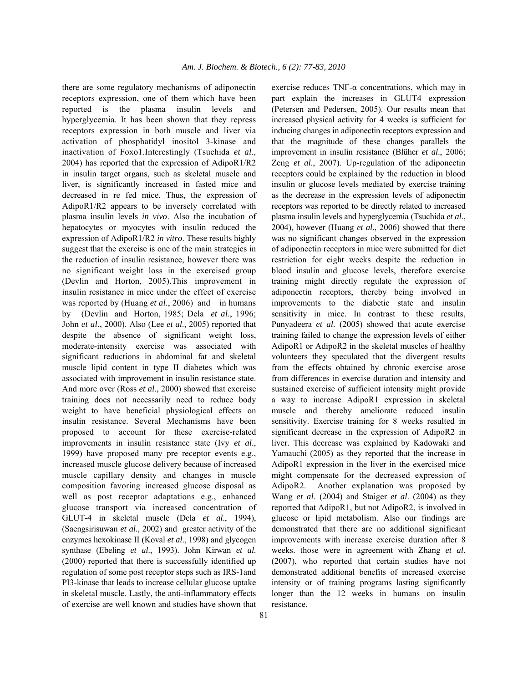there are some regulatory mechanisms of adiponectin receptors expression, one of them which have been reported is the plasma insulin levels and hyperglycemia. It has been shown that they repress receptors expression in both muscle and liver via activation of phosphatidyl inositol 3-kinase and inactivation of Foxo1.Interestingly (Tsuchida *et al*., 2004) has reported that the expression of AdipoR1/R2 in insulin target organs, such as skeletal muscle and liver, is significantly increased in fasted mice and decreased in re fed mice. Thus, the expression of AdipoR1/R2 appears to be inversely correlated with plasma insulin levels *in vivo*. Also the incubation of hepatocytes or myocytes with insulin reduced the expression of AdipoR1/R2 *in vitro*. These results highly suggest that the exercise is one of the main strategies in the reduction of insulin resistance, however there was no significant weight loss in the exercised group (Devlin and Horton, 2005).This improvement in insulin resistance in mice under the effect of exercise was reported by (Huang *et al*., 2006) and in humans by (Devlin and Horton, 1985; Dela *et al*., 1996; John *et al*., 2000). Also (Lee *et al*., 2005) reported that despite the absence of significant weight loss, moderate-intensity exercise was associated with significant reductions in abdominal fat and skeletal muscle lipid content in type II diabetes which was associated with improvement in insulin resistance state. And more over (Ross *et al*., 2000) showed that exercise training does not necessarily need to reduce body weight to have beneficial physiological effects on insulin resistance. Several Mechanisms have been proposed to account for these exercise-related improvements in insulin resistance state (Ivy *et al*., 1999) have proposed many pre receptor events e.g., increased muscle glucose delivery because of increased muscle capillary density and changes in muscle composition favoring increased glucose disposal as well as post receptor adaptations e.g., enhanced glucose transport via increased concentration of GLUT-4 in skeletal muscle (Dela *et al*., 1994), (Saengsirisuwan *et al*., 2002) and greater activity of the enzymes hexokinase II (Koval *et al*., 1998) and glycogen synthase (Ebeling *et al*., 1993). John Kirwan *et al*. (2000) reported that there is successfully identified up regulation of some post receptor steps such as IRS-1and PI3-kinase that leads to increase cellular glucose uptake in skeletal muscle. Lastly, the anti-inflammatory effects of exercise are well known and studies have shown that

exercise reduces  $TNF-\alpha$  concentrations, which may in part explain the increases in GLUT4 expression (Petersen and Pedersen, 2005). Our results mean that increased physical activity for 4 weeks is sufficient for inducing changes in adiponectin receptors expression and that the magnitude of these changes parallels the improvement in insulin resistance (Blüher *et al*., 2006; Zeng *et al*., 2007). Up-regulation of the adiponectin receptors could be explained by the reduction in blood insulin or glucose levels mediated by exercise training as the decrease in the expression levels of adiponectin receptors was reported to be directly related to increased plasma insulin levels and hyperglycemia (Tsuchida *et al*., 2004), however (Huang *et al*., 2006) showed that there was no significant changes observed in the expression of adiponectin receptors in mice were submitted for diet restriction for eight weeks despite the reduction in blood insulin and glucose levels, therefore exercise training might directly regulate the expression of adiponectin receptors, thereby being involved in improvements to the diabetic state and insulin sensitivity in mice. In contrast to these results, Punyadeera *et al*. (2005) showed that acute exercise training failed to change the expression levels of either AdipoR1 or AdipoR2 in the skeletal muscles of healthy volunteers they speculated that the divergent results from the effects obtained by chronic exercise arose from differences in exercise duration and intensity and sustained exercise of sufficient intensity might provide a way to increase AdipoR1 expression in skeletal muscle and thereby ameliorate reduced insulin sensitivity. Exercise training for 8 weeks resulted in significant decrease in the expression of AdipoR2 in liver. This decrease was explained by Kadowaki and Yamauchi (2005) as they reported that the increase in AdipoR1 expression in the liver in the exercised mice might compensate for the decreased expression of AdipoR2. Another explanation was proposed by Wang *et al*. (2004) and Staiger *et al*. (2004) as they reported that AdipoR1, but not AdipoR2, is involved in glucose or lipid metabolism. Also our findings are demonstrated that there are no additional significant improvements with increase exercise duration after 8 weeks. those were in agreement with Zhang *et al*. (2007), who reported that certain studies have not demonstrated additional benefits of increased exercise intensity or of training programs lasting significantly longer than the 12 weeks in humans on insulin resistance.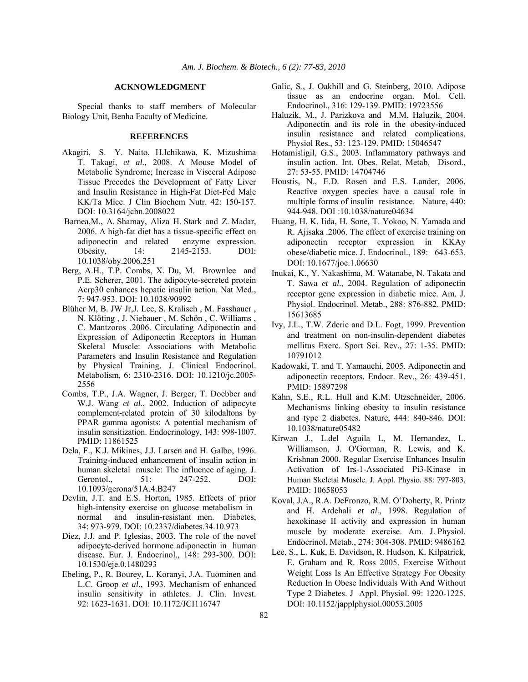#### **ACKNOWLEDGMENT**

 Special thanks to staff members of Molecular Biology Unit, Benha Faculty of Medicine.

#### **REFERENCES**

- Akagiri, S. Y. Naito, H.Ichikawa, K. Mizushima T. Takagi, *et al.,* 2008. A Mouse Model of Metabolic Syndrome; Increase in Visceral Adipose Tissue Precedes the Development of Fatty Liver and Insulin Resistance in High-Fat Diet-Fed Male KK/Ta Mice. J Clin Biochem Nutr. 42: 150-157. DOI: 10.3164/jcbn.2008022
- Barnea,M., A. Shamay, Aliza H. Stark and Z. Madar, 2006. A high-fat diet has a tissue-specific effect on adiponectin and related enzyme expression. Obesity, 14: 2145-2153. DOI: 10.1038/oby.2006.251
- Berg, A.H., T.P. Combs, X. Du, M. Brownlee and P.E. Scherer, 2001. The adipocyte-secreted protein Acrp30 enhances hepatic insulin action. Nat Med., 7: 947-953. DOI: 10.1038/90992
- Blüher M, B. JW Jr,J. Lee, S. Kralisch , M. Fasshauer , N. Klöting , J. Niebauer , M. Schön , C. Williams , C. Mantzoros .2006. Circulating Adiponectin and Expression of Adiponectin Receptors in Human Skeletal Muscle: Associations with Metabolic Parameters and Insulin Resistance and Regulation by Physical Training. J. Clinical Endocrinol. Metabolism, 6: 2310-2316. DOI: 10.1210/jc.2005- 2556
- Combs, T.P., J.A. Wagner, J. Berger, T. Doebber and W.J. Wang *et al*., 2002. Induction of adipocyte complement-related protein of 30 kilodaltons by PPAR gamma agonists: A potential mechanism of insulin sensitization. Endocrinology, 143: 998-1007. PMID: 11861525
- Dela, F., K.J. Mikines, J.J. Larsen and H. Galbo, 1996. Training-induced enhancement of insulin action in human skeletal muscle: The influence of aging. J. Gerontol., 51: 247-252. DOI: 10.1093/gerona/51A.4.B247
- Devlin, J.T. and E.S. Horton, 1985. Effects of prior high-intensity exercise on glucose metabolism in normal and insulin-resistant men. Diabetes, 34: 973-979. DOI: 10.2337/diabetes.34.10.973
- Diez, J.J. and P. Iglesias, 2003. The role of the novel adipocyte-derived hormone adiponectin in human disease. Eur. J. Endocrinol., 148: 293-300. DOI: 10.1530/eje.0.1480293
- Ebeling, P., R. Bourey, L. Koranyi, J.A. Tuominen and L.C. Groop *et al*., 1993. Mechanism of enhanced insulin sensitivity in athletes. J. Clin. Invest. 92: 1623-1631. DOI: 10.1172/JCI116747
- Galic, S., J. Oakhill and G. Steinberg, 2010. Adipose tissue as an endocrine organ. Mol. Cell. Endocrinol., 316: 129-139. PMID: 19723556
- Haluzik, M., J. Parizkova and M.M. Haluzik, 2004. Adiponectin and its role in the obesity-induced insulin resistance and related complications. Physiol Res., 53: 123-129. PMID: 15046547
- Hotamisligil, G.S., 2003. Inflammatory pathways and insulin action. Int. Obes. Relat. Metab. Disord., 27: 53-55. PMID: 14704746
- Houstis, N., E.D. Rosen and E.S. Lander, 2006. Reactive oxygen species have a causal role in multiple forms of insulin resistance. Nature, 440: 944-948. DOI :10.1038/nature04634
- Huang, H. K. Iida, H. Sone, T. Yokoo, N. Yamada and R. Ajisaka .2006. The effect of exercise training on adiponectin receptor expression in KKAy obese/diabetic mice. J. Endocrinol., 189: 643-653. DOI: 10.1677/joe.1.06630
- Inukai, K., Y. Nakashima, M. Watanabe, N. Takata and T. Sawa *et al*., 2004. Regulation of adiponectin receptor gene expression in diabetic mice. Am. J. Physiol. Endocrinol. Metab., 288: 876-882. PMID: 15613685
- Ivy, J.L., T.W. Zderic and D.L. Fogt, 1999. Prevention and treatment on non-insulin-dependent diabetes mellitus Exerc. Sport Sci. Rev., 27: 1-35. PMID: 10791012
- Kadowaki, T. and T. Yamauchi, 2005. Adiponectin and adiponectin receptors. Endocr. Rev., 26: 439-451. PMID: 15897298
- Kahn, S.E., R.L. Hull and K.M. Utzschneider, 2006. Mechanisms linking obesity to insulin resistance and type 2 diabetes. Nature, 444: 840-846. DOI: 10.1038/nature05482
- Kirwan J., L.del Aguila L, M. Hernandez, L. Williamson, J. O'Gorman, R. Lewis, and K. Krishnan 2000. Regular Exercise Enhances Insulin Activation of Irs-1-Associated Pi3-Kinase in Human Skeletal Muscle. J. Appl. Physio. 88: 797-803. PMID: 10658053
- Koval, J.A., R.A. DeFronzo, R.M. O'Doherty, R. Printz and H. Ardehali *et al*., 1998. Regulation of hexokinase II activity and expression in human muscle by moderate exercise. Am. J. Physiol. Endocrinol. Metab., 274: 304-308. PMID: 9486162
- Lee, S., L. Kuk, E. Davidson, R. Hudson, K. Kilpatrick, E. Graham and R. Ross 2005. Exercise Without Weight Loss Is An Effective Strategy For Obesity Reduction In Obese Individuals With And Without Type 2 Diabetes. JAppl. Physiol. 99: 1220-1225. DOI: 10.1152/japplphysiol.00053.2005